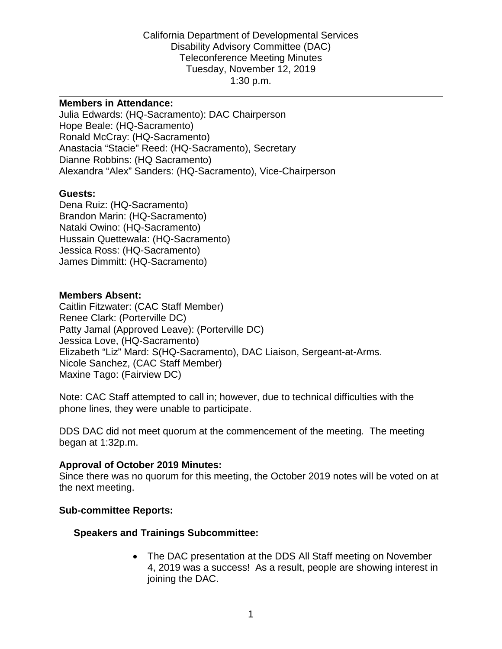California Department of Developmental Services Disability Advisory Committee (DAC) Teleconference Meeting Minutes Tuesday, November 12, 2019 1:30 p.m.

#### **Members in Attendance:**

Julia Edwards: (HQ-Sacramento): DAC Chairperson Hope Beale: (HQ-Sacramento) Ronald McCray: (HQ-Sacramento) Anastacia "Stacie" Reed: (HQ-Sacramento), Secretary Dianne Robbins: (HQ Sacramento) Alexandra "Alex" Sanders: (HQ-Sacramento), Vice-Chairperson

### **Guests:**

Dena Ruiz: (HQ-Sacramento) Brandon Marin: (HQ-Sacramento) Nataki Owino: (HQ-Sacramento) Hussain Quettewala: (HQ-Sacramento) Jessica Ross: (HQ-Sacramento) James Dimmitt: (HQ-Sacramento)

### **Members Absent:**

Caitlin Fitzwater: (CAC Staff Member) Renee Clark: (Porterville DC) Patty Jamal (Approved Leave): (Porterville DC) Jessica Love, (HQ-Sacramento) Elizabeth "Liz" Mard: S(HQ-Sacramento), DAC Liaison, Sergeant-at-Arms. Nicole Sanchez, (CAC Staff Member) Maxine Tago: (Fairview DC)

Note: CAC Staff attempted to call in; however, due to technical difficulties with the phone lines, they were unable to participate.

DDS DAC did not meet quorum at the commencement of the meeting. The meeting began at 1:32p.m.

#### **Approval of October 2019 Minutes:**

Since there was no quorum for this meeting, the October 2019 notes will be voted on at the next meeting.

### **Sub-committee Reports:**

## **Speakers and Trainings Subcommittee:**

• The DAC presentation at the DDS All Staff meeting on November 4, 2019 was a success! As a result, people are showing interest in joining the DAC.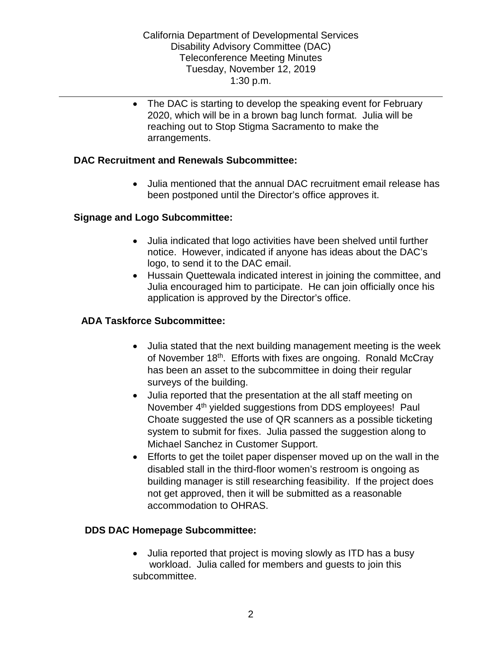• The DAC is starting to develop the speaking event for February 2020, which will be in a brown bag lunch format. Julia will be reaching out to Stop Stigma Sacramento to make the arrangements.

# **DAC Recruitment and Renewals Subcommittee:**

• Julia mentioned that the annual DAC recruitment email release has been postponed until the Director's office approves it.

# **Signage and Logo Subcommittee:**

- Julia indicated that logo activities have been shelved until further notice. However, indicated if anyone has ideas about the DAC's logo, to send it to the DAC email.
- Hussain Quettewala indicated interest in joining the committee, and Julia encouraged him to participate. He can join officially once his application is approved by the Director's office.

# **ADA Taskforce Subcommittee:**

- Julia stated that the next building management meeting is the week of November 18<sup>th</sup>. Efforts with fixes are ongoing. Ronald McCray has been an asset to the subcommittee in doing their regular surveys of the building.
- Julia reported that the presentation at the all staff meeting on November 4<sup>th</sup> yielded suggestions from DDS employees! Paul Choate suggested the use of QR scanners as a possible ticketing system to submit for fixes. Julia passed the suggestion along to Michael Sanchez in Customer Support.
- Efforts to get the toilet paper dispenser moved up on the wall in the disabled stall in the third-floor women's restroom is ongoing as building manager is still researching feasibility. If the project does not get approved, then it will be submitted as a reasonable accommodation to OHRAS.

## **DDS DAC Homepage Subcommittee:**

• Julia reported that project is moving slowly as ITD has a busy workload. Julia called for members and guests to join this subcommittee.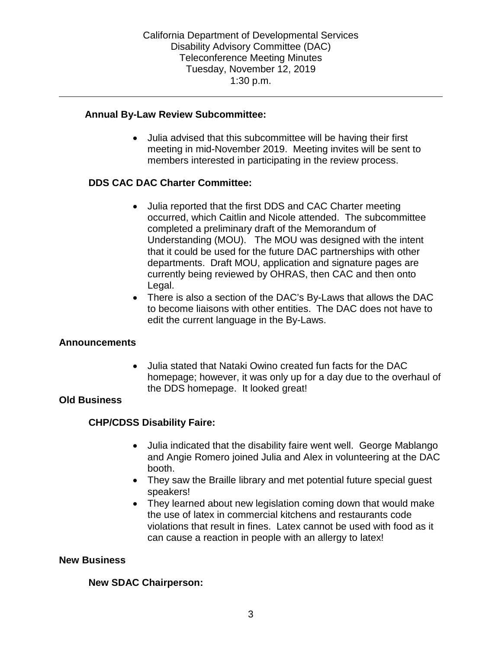# **Annual By-Law Review Subcommittee:**

• Julia advised that this subcommittee will be having their first meeting in mid-November 2019. Meeting invites will be sent to members interested in participating in the review process.

# **DDS CAC DAC Charter Committee:**

- Julia reported that the first DDS and CAC Charter meeting occurred, which Caitlin and Nicole attended. The subcommittee completed a preliminary draft of the Memorandum of Understanding (MOU). The MOU was designed with the intent that it could be used for the future DAC partnerships with other departments. Draft MOU, application and signature pages are currently being reviewed by OHRAS, then CAC and then onto Legal.
- There is also a section of the DAC's By-Laws that allows the DAC to become liaisons with other entities. The DAC does not have to edit the current language in the By-Laws.

## **Announcements**

• Julia stated that Nataki Owino created fun facts for the DAC homepage; however, it was only up for a day due to the overhaul of the DDS homepage. It looked great!

## **Old Business**

# **CHP/CDSS Disability Faire:**

- Julia indicated that the disability faire went well. George Mablango and Angie Romero joined Julia and Alex in volunteering at the DAC booth.
- They saw the Braille library and met potential future special guest speakers!
- They learned about new legislation coming down that would make the use of latex in commercial kitchens and restaurants code violations that result in fines. Latex cannot be used with food as it can cause a reaction in people with an allergy to latex!

## **New Business**

## **New SDAC Chairperson:**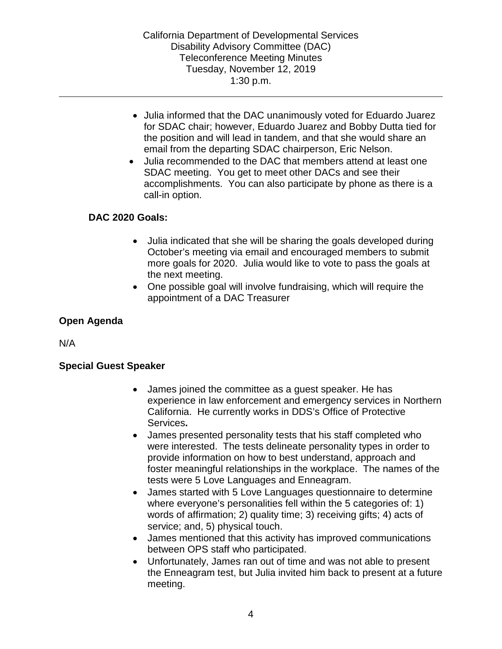California Department of Developmental Services Disability Advisory Committee (DAC) Teleconference Meeting Minutes Tuesday, November 12, 2019 1:30 p.m.

- Julia informed that the DAC unanimously voted for Eduardo Juarez for SDAC chair; however, Eduardo Juarez and Bobby Dutta tied for the position and will lead in tandem, and that she would share an email from the departing SDAC chairperson, Eric Nelson.
- Julia recommended to the DAC that members attend at least one SDAC meeting. You get to meet other DACs and see their accomplishments. You can also participate by phone as there is a call-in option.

# **DAC 2020 Goals:**

- Julia indicated that she will be sharing the goals developed during October's meeting via email and encouraged members to submit more goals for 2020. Julia would like to vote to pass the goals at the next meeting.
- One possible goal will involve fundraising, which will require the appointment of a DAC Treasurer

# **Open Agenda**

N/A

## **Special Guest Speaker**

- James joined the committee as a guest speaker. He has experience in law enforcement and emergency services in Northern California. He currently works in DDS's Office of Protective Services**.**
- James presented personality tests that his staff completed who were interested. The tests delineate personality types in order to provide information on how to best understand, approach and foster meaningful relationships in the workplace. The names of the tests were 5 Love Languages and Enneagram.
- James started with 5 Love Languages questionnaire to determine where everyone's personalities fell within the 5 categories of: 1) words of affirmation; 2) quality time; 3) receiving gifts; 4) acts of service; and, 5) physical touch.
- James mentioned that this activity has improved communications between OPS staff who participated.
- Unfortunately, James ran out of time and was not able to present the Enneagram test, but Julia invited him back to present at a future meeting.